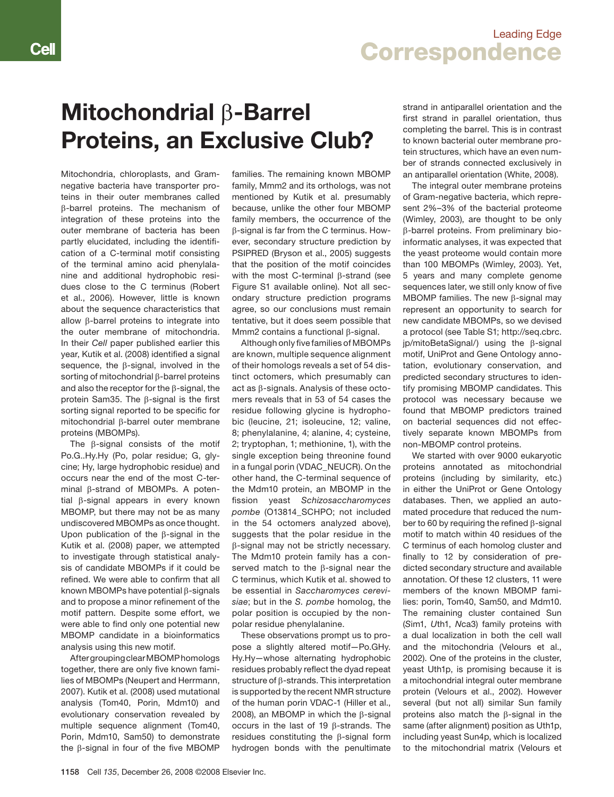### Leading Edge **Correspondence**

# Mitochondrial β-Barrel Proteins, an Exclusive Club?

Mitochondria, chloroplasts, and Gramnegative bacteria have transporter proteins in their outer membranes called β-barrel proteins. The mechanism of integration of these proteins into the outer membrane of bacteria has been partly elucidated, including the identification of a C-terminal motif consisting of the terminal amino acid phenylalanine and additional hydrophobic residues close to the C terminus (Robert et al., 2006). However, little is known about the sequence characteristics that allow β-barrel proteins to integrate into the outer membrane of mitochondria. In their Cell paper published earlier this year, Kutik et al. (2008) identified a signal sequence, the β-signal, involved in the sorting of mitochondrial β-barrel proteins and also the receptor for the β-signal, the protein Sam35. The β-signal is the first sorting signal reported to be specific for mitochondrial β-barrel outer membrane proteins (MBOMPs).

The β-signal consists of the motif Po.G..Hy.Hy (Po, polar residue; G, glycine; Hy, large hydrophobic residue) and occurs near the end of the most C-terminal β-strand of MBOMPs. A potential β-signal appears in every known MBOMP, but there may not be as many undiscovered MBOMPs as once thought. Upon publication of the β-signal in the Kutik et al. (2008) paper, we attempted to investigate through statistical analysis of candidate MBOMPs if it could be refined. We were able to confirm that all known MBOMPs have potential β-signals and to propose a minor refinement of the motif pattern. Despite some effort, we were able to find only one potential new MBOMP candidate in a bioinformatics analysis using this new motif.

After grouping clear MBOMP homologs together, there are only five known families of MBOMPs (Neupert and Herrmann, 2007). Kutik et al. (2008) used mutational analysis (Tom40, Porin, Mdm10) and evolutionary conservation revealed by multiple sequence alignment (Tom40, Porin, Mdm10, Sam50) to demonstrate the β-signal in four of the five MBOMP families. The remaining known MBOMP family, Mmm2 and its orthologs, was not mentioned by Kutik et al. presumably because, unlike the other four MBOMP family members, the occurrence of the β-signal is far from the C terminus. However, secondary structure prediction by PSIPRED (Bryson et al., 2005) suggests that the position of the motif coincides with the most C-terminal β-strand (see Figure S1 available online). Not all secondary structure prediction programs agree, so our conclusions must remain tentative, but it does seem possible that Mmm2 contains a functional β-signal.

Although only five families of MBOMPs are known, multiple sequence alignment of their homologs reveals a set of 54 distinct octomers, which presumably can act as β-signals. Analysis of these octomers reveals that in 53 of 54 cases the residue following glycine is hydrophobic (leucine, 21; isoleucine, 12; valine, 8; phenylalanine, 4; alanine, 4; cysteine, 2; tryptophan, 1; methionine, 1), with the single exception being threonine found in a fungal porin (VDAC\_NEUCR). On the other hand, the C-terminal sequence of the Mdm10 protein, an MBOMP in the fission yeast Schizosaccharomyces pombe (O13814\_SCHPO; not included in the 54 octomers analyzed above), suggests that the polar residue in the β-signal may not be strictly necessary. The Mdm10 protein family has a conserved match to the β-signal near the C terminus, which Kutik et al. showed to be essential in Saccharomyces cerevisiae; but in the S. pombe homolog, the polar position is occupied by the nonpolar residue phenylalanine.

These observations prompt us to propose a slightly altered motif—Po.GHy. Hy.Hy—whose alternating hydrophobic residues probably reflect the dyad repeat structure of β-strands. This interpretation is supported by the recent NMR structure of the human porin VDAC-1 (Hiller et al., 2008), an MBOMP in which the β-signal occurs in the last of 19 β-strands. The residues constituting the β-signal form hydrogen bonds with the penultimate

strand in antiparallel orientation and the first strand in parallel orientation, thus completing the barrel. This is in contrast to known bacterial outer membrane protein structures, which have an even number of strands connected exclusively in an antiparallel orientation (White, 2008).

The integral outer membrane proteins of Gram-negative bacteria, which represent 2%–3% of the bacterial proteome (Wimley, 2003), are thought to be only β-barrel proteins. From preliminary bioinformatic analyses, it was expected that the yeast proteome would contain more than 100 MBOMPs (Wimley, 2003). Yet, 5 years and many complete genome sequences later, we still only know of five MBOMP families. The new β-signal may represent an opportunity to search for new candidate MBOMPs, so we devised a protocol (see Table S1; http://seq.cbrc. jp/mitoBetaSignal/) using the β-signal motif, UniProt and Gene Ontology annotation, evolutionary conservation, and predicted secondary structures to identify promising MBOMP candidates. This protocol was necessary because we found that MBOMP predictors trained on bacterial sequences did not effectively separate known MBOMPs from non-MBOMP control proteins.

We started with over 9000 eukaryotic proteins annotated as mitochondrial proteins (including by similarity, etc.) in either the UniProt or Gene Ontology databases. Then, we applied an automated procedure that reduced the number to 60 by requiring the refined β-signal motif to match within 40 residues of the C terminus of each homolog cluster and finally to 12 by consideration of predicted secondary structure and available annotation. Of these 12 clusters, 11 were members of the known MBOMP families: porin, Tom40, Sam50, and Mdm10. The remaining cluster contained Sun (Sim1, Uth1, Nca3) family proteins with a dual localization in both the cell wall and the mitochondria (Velours et al., 2002). One of the proteins in the cluster, yeast Uth1p, is promising because it is a mitochondrial integral outer membrane protein (Velours et al., 2002). However several (but not all) similar Sun family proteins also match the β-signal in the same (after alignment) position as Uth1p, including yeast Sun4p, which is localized to the mitochondrial matrix (Velours et